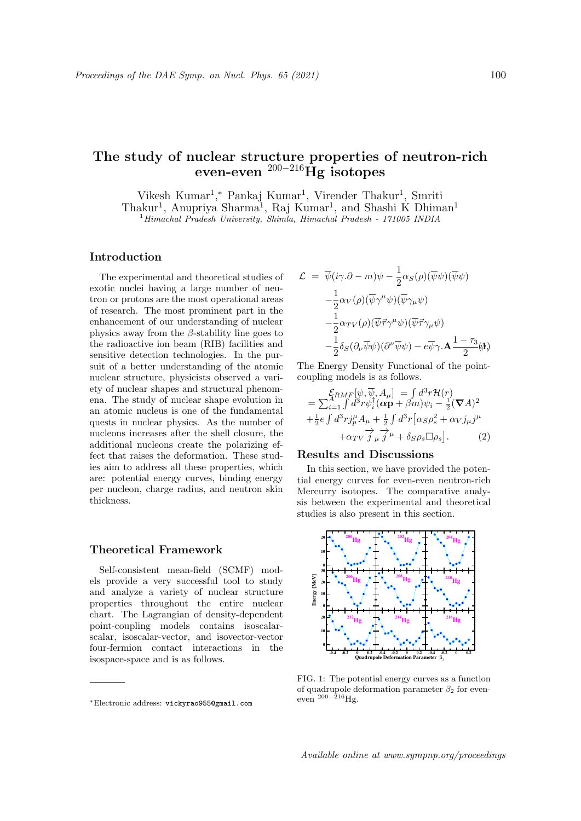# The study of nuclear structure properties of neutron-rich even-even  $^{200-216}\text{Hg}$  isotopes

Vikesh Kumar<sup>1</sup>,\* Pankaj Kumar<sup>1</sup>, Virender Thakur<sup>1</sup>, Smriti Thakur<sup>1</sup>, Anupriya Sharma<sup>1</sup>, Raj Kumar<sup>1</sup>, and Shashi K Dhiman<sup>1</sup>

<sup>1</sup>Himachal Pradesh University, Shimla, Himachal Pradesh - 171005 INDIA

# Introduction

The experimental and theoretical studies of exotic nuclei having a large number of neutron or protons are the most operational areas of research. The most prominent part in the enhancement of our understanding of nuclear physics away from the  $\beta$ -stability line goes to the radioactive ion beam (RIB) facilities and sensitive detection technologies. In the pursuit of a better understanding of the atomic nuclear structure, physicists observed a variety of nuclear shapes and structural phenomena. The study of nuclear shape evolution in an atomic nucleus is one of the fundamental quests in nuclear physics. As the number of nucleons increases after the shell closure, the additional nucleons create the polarizing effect that raises the deformation. These studies aim to address all these properties, which are: potential energy curves, binding energy per nucleon, charge radius, and neutron skin thickness.

# Theoretical Framework

Self-consistent mean-field (SCMF) models provide a very successful tool to study and analyze a variety of nuclear structure properties throughout the entire nuclear chart. The Lagrangian of density-dependent point-coupling models contains isoscalarscalar, isoscalar-vector, and isovector-vector four-fermion contact interactions in the isospace-space and is as follows.

$$
\mathcal{L} = \overline{\psi}(i\gamma \cdot \partial - m)\psi - \frac{1}{2}\alpha_S(\rho)(\overline{\psi}\psi)(\overline{\psi}\psi) \n- \frac{1}{2}\alpha_V(\rho)(\overline{\psi}\gamma^{\mu}\psi)(\overline{\psi}\gamma_{\mu}\psi) \n- \frac{1}{2}\alpha_{TV}(\rho)(\overline{\psi}\vec{\tau}\gamma^{\mu}\psi)(\overline{\psi}\vec{\tau}\gamma_{\mu}\psi) \n- \frac{1}{2}\delta_S(\partial_{\nu}\overline{\psi}\psi)(\partial^{\nu}\overline{\psi}\psi) - e\overline{\psi}\gamma \cdot \mathbf{A} \frac{1 - \tau_3}{2} \mathbf{A}\psi
$$

The Energy Density Functional of the pointcoupling models is as follows.

$$
\mathcal{E}_{RMF}[\psi, \overline{\psi}, A_{\mu}] = \int d^3 r \mathcal{H}(r)
$$
\n
$$
= \sum_{i=1}^{A} \int d^3 r \psi_i^{\dagger} (\alpha \mathbf{p} + \beta m) \psi_i - \frac{1}{2} (\nabla A)^2
$$
\n
$$
+ \frac{1}{2} e \int d^3 r j_{\mu}^{\mu} A_{\mu} + \frac{1}{2} \int d^3 r \left[ \alpha_S \rho_s^2 + \alpha_V j_{\mu} j^{\mu} + \alpha_{TV} j_{\mu} j^{\mu} + \delta_S \rho_s \Box \rho_s \right].
$$
\n(2)

# Results and Discussions

In this section, we have provided the potential energy curves for even-even neutron-rich Mercurry isotopes. The comparative analysis between the experimental and theoretical studies is also present in this section.



FIG. 1: The potential energy curves as a function of quadrupole deformation parameter  $\beta_2$  for eveneven  $200-216$  Hg.

<sup>∗</sup>Electronic address: vickyrao955@gmail.com